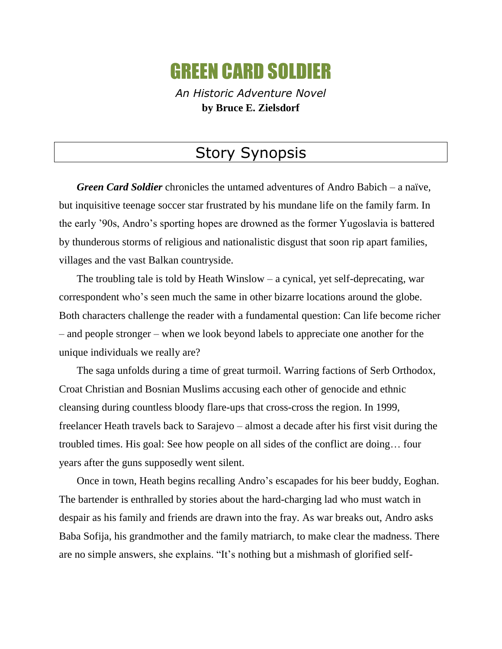## GREEN CARD SOLDIER

*An Historic Adventure Novel* **by Bruce E. Zielsdorf**

## Story Synopsis

*Green Card Soldier* chronicles the untamed adventures of Andro Babich – a naïve, but inquisitive teenage soccer star frustrated by his mundane life on the family farm. In the early '90s, Andro's sporting hopes are drowned as the former Yugoslavia is battered by thunderous storms of religious and nationalistic disgust that soon rip apart families, villages and the vast Balkan countryside.

The troubling tale is told by Heath Winslow – a cynical, yet self-deprecating, war correspondent who's seen much the same in other bizarre locations around the globe. Both characters challenge the reader with a fundamental question: Can life become richer – and people stronger – when we look beyond labels to appreciate one another for the unique individuals we really are?

The saga unfolds during a time of great turmoil. Warring factions of Serb Orthodox, Croat Christian and Bosnian Muslims accusing each other of genocide and ethnic cleansing during countless bloody flare-ups that cross-cross the region. In 1999, freelancer Heath travels back to Sarajevo – almost a decade after his first visit during the troubled times. His goal: See how people on all sides of the conflict are doing… four years after the guns supposedly went silent.

Once in town, Heath begins recalling Andro's escapades for his beer buddy, Eoghan. The bartender is enthralled by stories about the hard-charging lad who must watch in despair as his family and friends are drawn into the fray. As war breaks out, Andro asks Baba Sofija, his grandmother and the family matriarch, to make clear the madness. There are no simple answers, she explains. "It's nothing but a mishmash of glorified self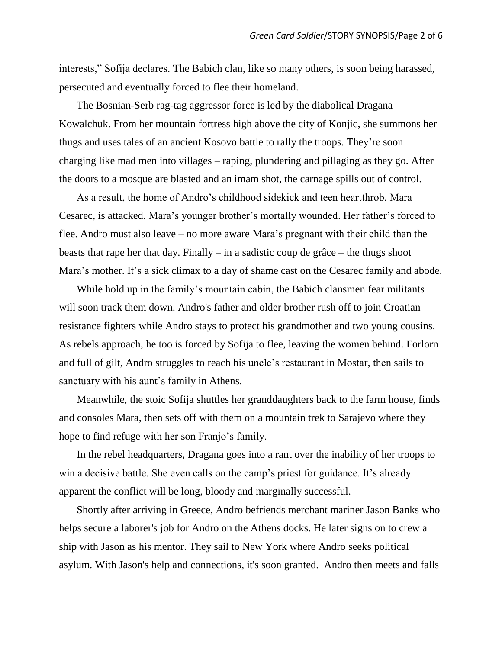interests," Sofija declares. The Babich clan, like so many others, is soon being harassed, persecuted and eventually forced to flee their homeland.

The Bosnian-Serb rag-tag aggressor force is led by the diabolical Dragana Kowalchuk. From her mountain fortress high above the city of Konjic, she summons her thugs and uses tales of an ancient Kosovo battle to rally the troops. They're soon charging like mad men into villages – raping, plundering and pillaging as they go. After the doors to a mosque are blasted and an imam shot, the carnage spills out of control.

As a result, the home of Andro's childhood sidekick and teen heartthrob, Mara Cesarec, is attacked. Mara's younger brother's mortally wounded. Her father's forced to flee. Andro must also leave – no more aware Mara's pregnant with their child than the beasts that rape her that day. Finally – in a sadistic coup de grâce – the thugs shoot Mara's mother. It's a sick climax to a day of shame cast on the Cesarec family and abode.

While hold up in the family's mountain cabin, the Babich clansmen fear militants will soon track them down. Andro's father and older brother rush off to join Croatian resistance fighters while Andro stays to protect his grandmother and two young cousins. As rebels approach, he too is forced by Sofija to flee, leaving the women behind. Forlorn and full of gilt, Andro struggles to reach his uncle's restaurant in Mostar, then sails to sanctuary with his aunt's family in Athens.

Meanwhile, the stoic Sofija shuttles her granddaughters back to the farm house, finds and consoles Mara, then sets off with them on a mountain trek to Sarajevo where they hope to find refuge with her son Franjo's family.

In the rebel headquarters, Dragana goes into a rant over the inability of her troops to win a decisive battle. She even calls on the camp's priest for guidance. It's already apparent the conflict will be long, bloody and marginally successful.

Shortly after arriving in Greece, Andro befriends merchant mariner Jason Banks who helps secure a laborer's job for Andro on the Athens docks. He later signs on to crew a ship with Jason as his mentor. They sail to New York where Andro seeks political asylum. With Jason's help and connections, it's soon granted. Andro then meets and falls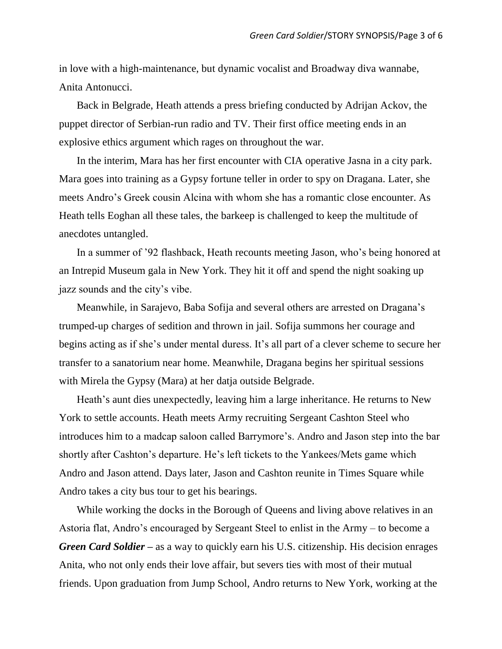in love with a high-maintenance, but dynamic vocalist and Broadway diva wannabe, Anita Antonucci.

Back in Belgrade, Heath attends a press briefing conducted by Adrijan Ackov, the puppet director of Serbian-run radio and TV. Their first office meeting ends in an explosive ethics argument which rages on throughout the war.

In the interim, Mara has her first encounter with CIA operative Jasna in a city park. Mara goes into training as a Gypsy fortune teller in order to spy on Dragana. Later, she meets Andro's Greek cousin Alcina with whom she has a romantic close encounter. As Heath tells Eoghan all these tales, the barkeep is challenged to keep the multitude of anecdotes untangled.

In a summer of '92 flashback, Heath recounts meeting Jason, who's being honored at an Intrepid Museum gala in New York. They hit it off and spend the night soaking up jazz sounds and the city's vibe.

Meanwhile, in Sarajevo, Baba Sofija and several others are arrested on Dragana's trumped-up charges of sedition and thrown in jail. Sofija summons her courage and begins acting as if she's under mental duress. It's all part of a clever scheme to secure her transfer to a sanatorium near home. Meanwhile, Dragana begins her spiritual sessions with Mirela the Gypsy (Mara) at her datja outside Belgrade.

Heath's aunt dies unexpectedly, leaving him a large inheritance. He returns to New York to settle accounts. Heath meets Army recruiting Sergeant Cashton Steel who introduces him to a madcap saloon called Barrymore's. Andro and Jason step into the bar shortly after Cashton's departure. He's left tickets to the Yankees/Mets game which Andro and Jason attend. Days later, Jason and Cashton reunite in Times Square while Andro takes a city bus tour to get his bearings.

While working the docks in the Borough of Queens and living above relatives in an Astoria flat, Andro's encouraged by Sergeant Steel to enlist in the Army – to become a *Green Card Soldier –* as a way to quickly earn his U.S. citizenship. His decision enrages Anita, who not only ends their love affair, but severs ties with most of their mutual friends. Upon graduation from Jump School, Andro returns to New York, working at the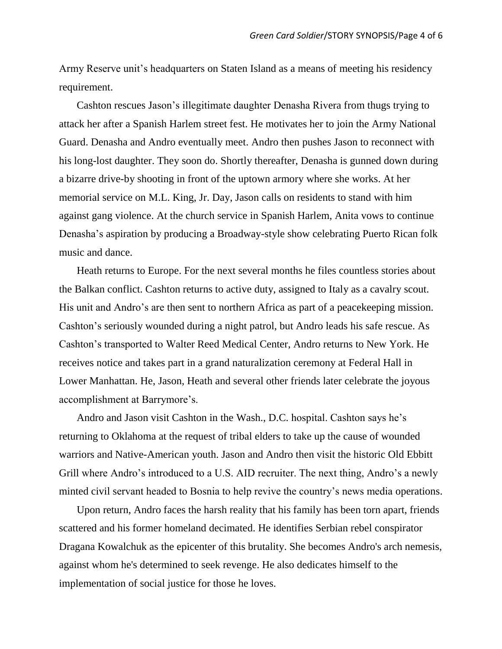Army Reserve unit's headquarters on Staten Island as a means of meeting his residency requirement.

Cashton rescues Jason's illegitimate daughter Denasha Rivera from thugs trying to attack her after a Spanish Harlem street fest. He motivates her to join the Army National Guard. Denasha and Andro eventually meet. Andro then pushes Jason to reconnect with his long-lost daughter. They soon do. Shortly thereafter, Denasha is gunned down during a bizarre drive-by shooting in front of the uptown armory where she works. At her memorial service on M.L. King, Jr. Day, Jason calls on residents to stand with him against gang violence. At the church service in Spanish Harlem, Anita vows to continue Denasha's aspiration by producing a Broadway-style show celebrating Puerto Rican folk music and dance.

Heath returns to Europe. For the next several months he files countless stories about the Balkan conflict. Cashton returns to active duty, assigned to Italy as a cavalry scout. His unit and Andro's are then sent to northern Africa as part of a peacekeeping mission. Cashton's seriously wounded during a night patrol, but Andro leads his safe rescue. As Cashton's transported to Walter Reed Medical Center, Andro returns to New York. He receives notice and takes part in a grand naturalization ceremony at Federal Hall in Lower Manhattan. He, Jason, Heath and several other friends later celebrate the joyous accomplishment at Barrymore's.

Andro and Jason visit Cashton in the Wash., D.C. hospital. Cashton says he's returning to Oklahoma at the request of tribal elders to take up the cause of wounded warriors and Native-American youth. Jason and Andro then visit the historic Old Ebbitt Grill where Andro's introduced to a U.S. AID recruiter. The next thing, Andro's a newly minted civil servant headed to Bosnia to help revive the country's news media operations.

Upon return, Andro faces the harsh reality that his family has been torn apart, friends scattered and his former homeland decimated. He identifies Serbian rebel conspirator Dragana Kowalchuk as the epicenter of this brutality. She becomes Andro's arch nemesis, against whom he's determined to seek revenge. He also dedicates himself to the implementation of social justice for those he loves.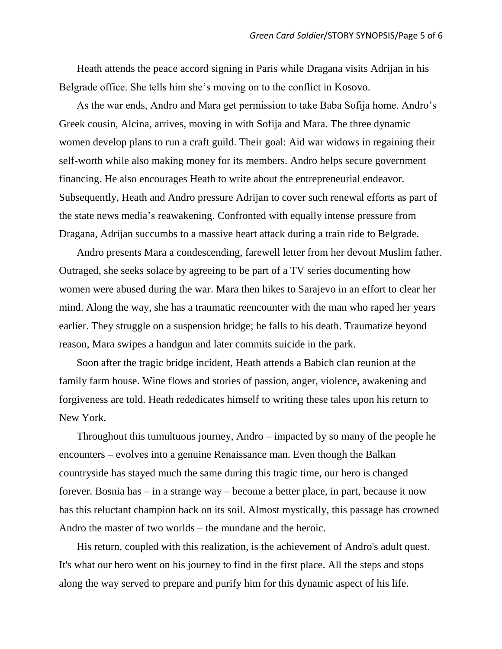Heath attends the peace accord signing in Paris while Dragana visits Adrijan in his Belgrade office. She tells him she's moving on to the conflict in Kosovo.

As the war ends, Andro and Mara get permission to take Baba Sofija home. Andro's Greek cousin, Alcina, arrives, moving in with Sofija and Mara. The three dynamic women develop plans to run a craft guild. Their goal: Aid war widows in regaining their self-worth while also making money for its members. Andro helps secure government financing. He also encourages Heath to write about the entrepreneurial endeavor. Subsequently, Heath and Andro pressure Adrijan to cover such renewal efforts as part of the state news media's reawakening. Confronted with equally intense pressure from Dragana, Adrijan succumbs to a massive heart attack during a train ride to Belgrade.

Andro presents Mara a condescending, farewell letter from her devout Muslim father. Outraged, she seeks solace by agreeing to be part of a TV series documenting how women were abused during the war. Mara then hikes to Sarajevo in an effort to clear her mind. Along the way, she has a traumatic reencounter with the man who raped her years earlier. They struggle on a suspension bridge; he falls to his death. Traumatize beyond reason, Mara swipes a handgun and later commits suicide in the park.

Soon after the tragic bridge incident, Heath attends a Babich clan reunion at the family farm house. Wine flows and stories of passion, anger, violence, awakening and forgiveness are told. Heath rededicates himself to writing these tales upon his return to New York.

Throughout this tumultuous journey, Andro – impacted by so many of the people he encounters – evolves into a genuine Renaissance man. Even though the Balkan countryside has stayed much the same during this tragic time, our hero is changed forever. Bosnia has – in a strange way – become a better place, in part, because it now has this reluctant champion back on its soil. Almost mystically, this passage has crowned Andro the master of two worlds – the mundane and the heroic.

His return, coupled with this realization, is the achievement of Andro's adult quest. It's what our hero went on his journey to find in the first place. All the steps and stops along the way served to prepare and purify him for this dynamic aspect of his life.